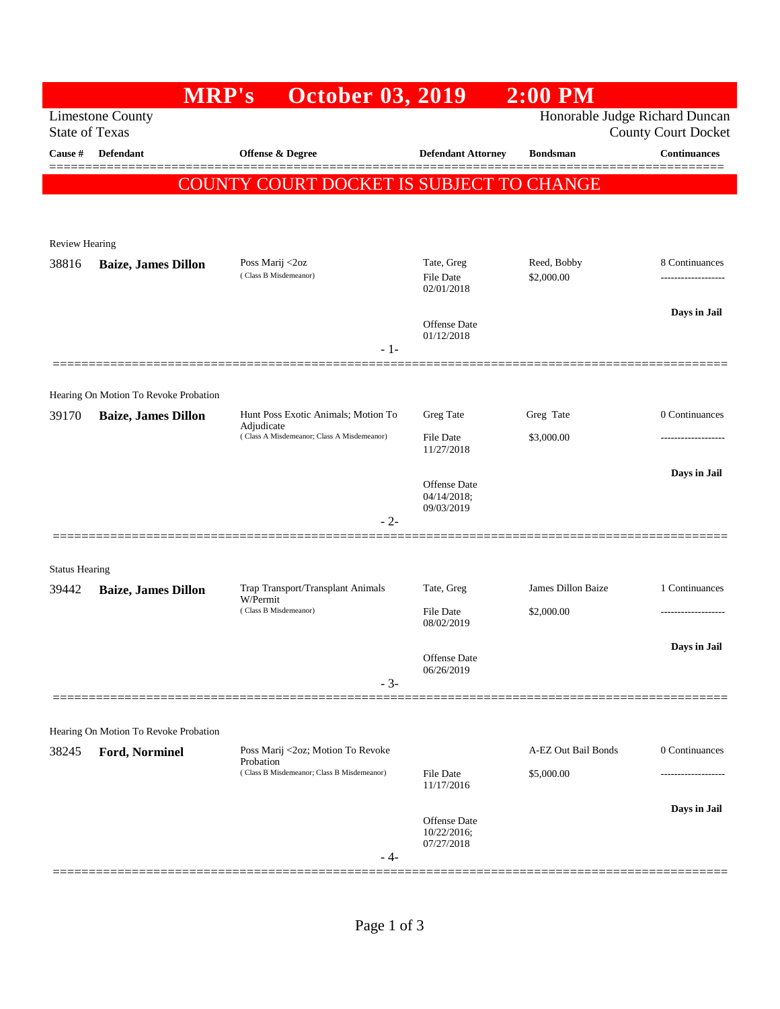|                       | <b>MRP's</b>                          | <b>October 03, 2019</b>                                                                         |                                       | $2:00$ PM                      |                                     |
|-----------------------|---------------------------------------|-------------------------------------------------------------------------------------------------|---------------------------------------|--------------------------------|-------------------------------------|
| <b>State of Texas</b> | <b>Limestone County</b>               |                                                                                                 |                                       | Honorable Judge Richard Duncan | <b>County Court Docket</b>          |
| Cause #               | <b>Defendant</b>                      | Offense & Degree                                                                                | <b>Defendant Attorney</b>             | <b>Bondsman</b>                | <b>Continuances</b>                 |
|                       |                                       | COUNTY COURT DOCKET IS SUBJECT TO CHANGE                                                        |                                       |                                |                                     |
|                       |                                       |                                                                                                 |                                       |                                |                                     |
| <b>Review Hearing</b> |                                       |                                                                                                 |                                       |                                |                                     |
| 38816                 | <b>Baize, James Dillon</b>            | Poss Marij <2oz<br>(Class B Misdemeanor)                                                        | Tate, Greg<br>File Date<br>02/01/2018 | Reed, Bobby<br>\$2,000.00      | 8 Continuances<br>----------------- |
|                       |                                       |                                                                                                 |                                       |                                |                                     |
|                       |                                       |                                                                                                 | Offense Date                          |                                | Days in Jail                        |
|                       |                                       | $-1-$                                                                                           | 01/12/2018                            |                                |                                     |
|                       |                                       |                                                                                                 |                                       |                                |                                     |
|                       | Hearing On Motion To Revoke Probation |                                                                                                 | Greg Tate                             | Greg Tate                      | 0 Continuances                      |
| 39170                 | <b>Baize, James Dillon</b>            | Hunt Poss Exotic Animals; Motion To<br>Adjudicate<br>(Class A Misdemeanor; Class A Misdemeanor) | <b>File Date</b>                      | \$3,000.00                     | ------------------                  |
|                       |                                       |                                                                                                 | 11/27/2018                            |                                |                                     |
|                       |                                       |                                                                                                 | Offense Date<br>04/14/2018;           |                                | Days in Jail                        |
|                       |                                       | $-2-$                                                                                           | 09/03/2019                            |                                |                                     |
|                       |                                       |                                                                                                 |                                       |                                |                                     |
| <b>Status Hearing</b> |                                       |                                                                                                 |                                       |                                |                                     |
| 39442                 | <b>Baize, James Dillon</b>            | Trap Transport/Transplant Animals<br>W/Permit<br>(Class B Misdemeanor)<br>$-3-$                 | Tate, Greg                            | James Dillon Baize             | 1 Continuances                      |
|                       |                                       |                                                                                                 | File Date<br>08/02/2019               | \$2,000.00                     |                                     |
|                       |                                       |                                                                                                 | Offense Date                          |                                | Days in Jail                        |
|                       |                                       |                                                                                                 | 06/26/2019                            |                                |                                     |
|                       |                                       |                                                                                                 |                                       |                                |                                     |
|                       | Hearing On Motion To Revoke Probation |                                                                                                 |                                       |                                |                                     |
| 38245                 | Ford, Norminel                        | Poss Marij <2oz; Motion To Revoke<br>Probation<br>(Class B Misdemeanor; Class B Misdemeanor)    |                                       | A-EZ Out Bail Bonds            | 0 Continuances                      |
|                       |                                       |                                                                                                 | <b>File Date</b><br>11/17/2016        | \$5,000.00                     |                                     |
|                       |                                       |                                                                                                 | <b>Offense Date</b>                   |                                | Days in Jail                        |
|                       |                                       |                                                                                                 | 10/22/2016;<br>07/27/2018             |                                |                                     |
|                       |                                       | - 4-                                                                                            |                                       |                                |                                     |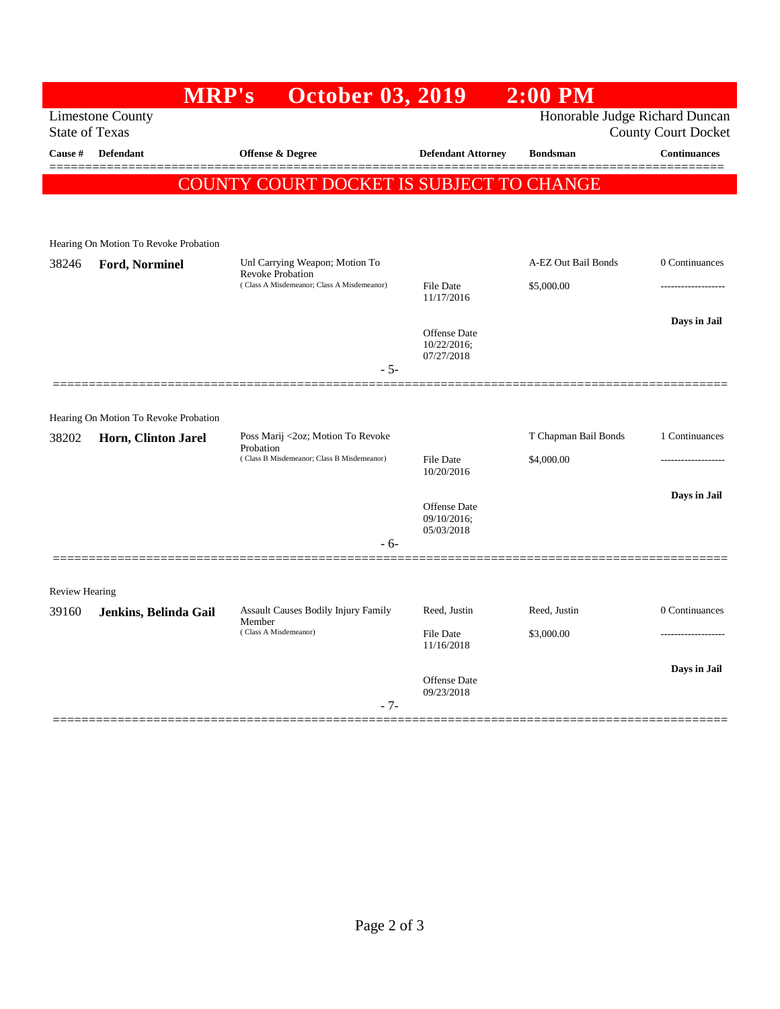|                                                           | <b>MRP's</b>                          | <b>October 03, 2019</b>                                        |                                   | $2:00$ PM            |                     |  |  |
|-----------------------------------------------------------|---------------------------------------|----------------------------------------------------------------|-----------------------------------|----------------------|---------------------|--|--|
| <b>Limestone County</b><br>Honorable Judge Richard Duncan |                                       |                                                                |                                   |                      |                     |  |  |
| <b>State of Texas</b><br><b>County Court Docket</b>       |                                       |                                                                |                                   |                      |                     |  |  |
| Cause #                                                   | <b>Defendant</b>                      | <b>Offense &amp; Degree</b>                                    | <b>Defendant Attorney</b>         | <b>Bondsman</b>      | <b>Continuances</b> |  |  |
|                                                           |                                       | COUNTY COURT DOCKET IS SUBJECT TO CHANGE                       |                                   |                      |                     |  |  |
|                                                           |                                       |                                                                |                                   |                      |                     |  |  |
|                                                           |                                       |                                                                |                                   |                      |                     |  |  |
|                                                           | Hearing On Motion To Revoke Probation |                                                                |                                   |                      |                     |  |  |
| 38246                                                     | Ford, Norminel                        | Unl Carrying Weapon; Motion To                                 |                                   | A-EZ Out Bail Bonds  | 0 Continuances      |  |  |
|                                                           |                                       | Revoke Probation<br>(Class A Misdemeanor; Class A Misdemeanor) | <b>File Date</b>                  | \$5,000.00           |                     |  |  |
|                                                           |                                       |                                                                | 11/17/2016                        |                      |                     |  |  |
|                                                           |                                       |                                                                | <b>Offense</b> Date               |                      | Days in Jail        |  |  |
|                                                           |                                       |                                                                | 10/22/2016;<br>07/27/2018         |                      |                     |  |  |
|                                                           |                                       | $-5-$                                                          |                                   |                      |                     |  |  |
|                                                           |                                       |                                                                |                                   |                      |                     |  |  |
|                                                           | Hearing On Motion To Revoke Probation |                                                                |                                   |                      |                     |  |  |
| 38202                                                     | Horn, Clinton Jarel                   | Poss Marij <2oz; Motion To Revoke                              |                                   | T Chapman Bail Bonds | 1 Continuances      |  |  |
|                                                           |                                       | Probation<br>(Class B Misdemeanor; Class B Misdemeanor)        | <b>File Date</b>                  | \$4,000.00           |                     |  |  |
|                                                           |                                       |                                                                | 10/20/2016                        |                      |                     |  |  |
|                                                           |                                       |                                                                | Offense Date                      |                      | Days in Jail        |  |  |
|                                                           |                                       |                                                                | 09/10/2016;                       |                      |                     |  |  |
|                                                           |                                       | - 6-                                                           | 05/03/2018                        |                      |                     |  |  |
|                                                           |                                       |                                                                |                                   |                      |                     |  |  |
| Review Hearing                                            |                                       |                                                                |                                   |                      |                     |  |  |
| 39160                                                     | Jenkins, Belinda Gail                 | Assault Causes Bodily Injury Family                            | Reed, Justin                      | Reed, Justin         | 0 Continuances      |  |  |
|                                                           |                                       | Member<br>(Class A Misdemeanor)                                | <b>File Date</b>                  | \$3,000.00           |                     |  |  |
|                                                           |                                       |                                                                | 11/16/2018                        |                      |                     |  |  |
|                                                           |                                       |                                                                |                                   |                      | Days in Jail        |  |  |
|                                                           |                                       |                                                                | <b>Offense</b> Date<br>09/23/2018 |                      |                     |  |  |
|                                                           |                                       | $-7-$                                                          |                                   |                      |                     |  |  |
|                                                           |                                       |                                                                |                                   |                      |                     |  |  |